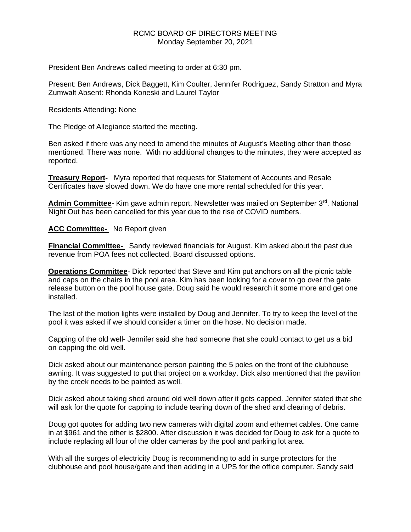### RCMC BOARD OF DIRECTORS MEETING Monday September 20, 2021

President Ben Andrews called meeting to order at 6:30 pm.

Present: Ben Andrews, Dick Baggett, Kim Coulter, Jennifer Rodriguez, Sandy Stratton and Myra Zumwalt Absent: Rhonda Koneski and Laurel Taylor

Residents Attending: None

The Pledge of Allegiance started the meeting.

Ben asked if there was any need to amend the minutes of August's Meeting other than those mentioned. There was none. With no additional changes to the minutes, they were accepted as reported.

**Treasury Report-** Myra reported that requests for Statement of Accounts and Resale Certificates have slowed down. We do have one more rental scheduled for this year.

Admin Committee- Kim gave admin report. Newsletter was mailed on September 3<sup>rd</sup>. National Night Out has been cancelled for this year due to the rise of COVID numbers.

**ACC Committee-** No Report given

**Financial Committee-** Sandy reviewed financials for August. Kim asked about the past due revenue from POA fees not collected. Board discussed options.

**Operations Committee**- Dick reported that Steve and Kim put anchors on all the picnic table and caps on the chairs in the pool area. Kim has been looking for a cover to go over the gate release button on the pool house gate. Doug said he would research it some more and get one installed.

The last of the motion lights were installed by Doug and Jennifer. To try to keep the level of the pool it was asked if we should consider a timer on the hose. No decision made.

Capping of the old well- Jennifer said she had someone that she could contact to get us a bid on capping the old well.

Dick asked about our maintenance person painting the 5 poles on the front of the clubhouse awning. It was suggested to put that project on a workday. Dick also mentioned that the pavilion by the creek needs to be painted as well.

Dick asked about taking shed around old well down after it gets capped. Jennifer stated that she will ask for the quote for capping to include tearing down of the shed and clearing of debris.

Doug got quotes for adding two new cameras with digital zoom and ethernet cables. One came in at \$961 and the other is \$2800. After discussion it was decided for Doug to ask for a quote to include replacing all four of the older cameras by the pool and parking lot area.

With all the surges of electricity Doug is recommending to add in surge protectors for the clubhouse and pool house/gate and then adding in a UPS for the office computer. Sandy said